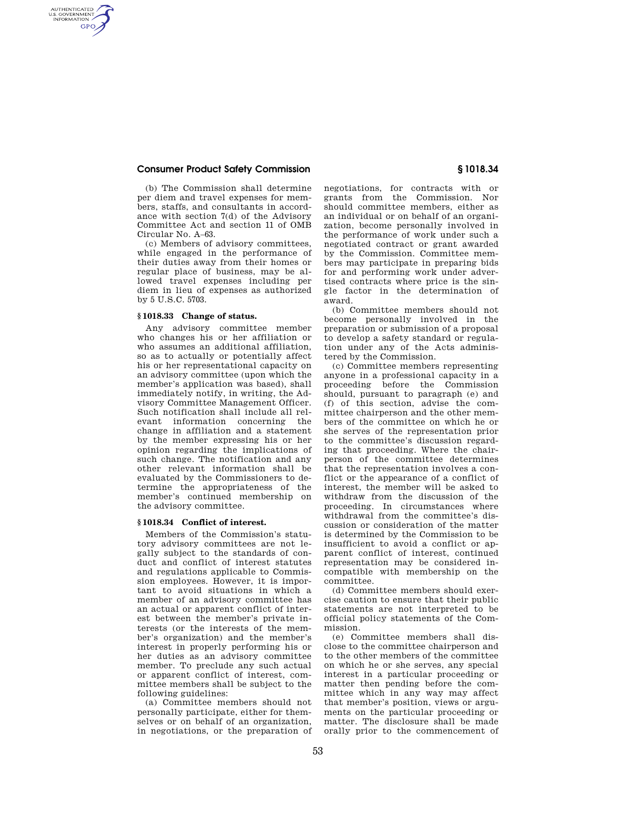## **Consumer Product Safety Commission § 1018.34**

AUTHENTICATED<br>U.S. GOVERNMENT<br>INFORMATION **GPO** 

> (b) The Commission shall determine per diem and travel expenses for members, staffs, and consultants in accordance with section 7(d) of the Advisory Committee Act and section 11 of OMB Circular No. A–63.

> (c) Members of advisory committees, while engaged in the performance of their duties away from their homes or regular place of business, may be allowed travel expenses including per diem in lieu of expenses as authorized by 5 U.S.C. 5703.

### **§ 1018.33 Change of status.**

Any advisory committee member who changes his or her affiliation or who assumes an additional affiliation, so as to actually or potentially affect his or her representational capacity on an advisory committee (upon which the member's application was based), shall immediately notify, in writing, the Advisory Committee Management Officer. Such notification shall include all relevant information concerning the change in affiliation and a statement by the member expressing his or her opinion regarding the implications of such change. The notification and any other relevant information shall be evaluated by the Commissioners to determine the appropriateness of the member's continued membership on the advisory committee.

#### **§ 1018.34 Conflict of interest.**

Members of the Commission's statutory advisory committees are not legally subject to the standards of conduct and conflict of interest statutes and regulations applicable to Commission employees. However, it is important to avoid situations in which a member of an advisory committee has an actual or apparent conflict of interest between the member's private interests (or the interests of the member's organization) and the member's interest in properly performing his or her duties as an advisory committee member. To preclude any such actual or apparent conflict of interest, committee members shall be subject to the following guidelines:

(a) Committee members should not personally participate, either for themselves or on behalf of an organization, in negotiations, or the preparation of negotiations, for contracts with or grants from the Commission. Nor should committee members, either as an individual or on behalf of an organization, become personally involved in the performance of work under such a negotiated contract or grant awarded by the Commission. Committee members may participate in preparing bids for and performing work under advertised contracts where price is the single factor in the determination of award.

(b) Committee members should not become personally involved in the preparation or submission of a proposal to develop a safety standard or regulation under any of the Acts administered by the Commission.

(c) Committee members representing anyone in a professional capacity in a proceeding before the Commission should, pursuant to paragraph (e) and (f) of this section, advise the committee chairperson and the other members of the committee on which he or she serves of the representation prior to the committee's discussion regarding that proceeding. Where the chairperson of the committee determines that the representation involves a conflict or the appearance of a conflict of interest, the member will be asked to withdraw from the discussion of the proceeding. In circumstances where withdrawal from the committee's discussion or consideration of the matter is determined by the Commission to be insufficient to avoid a conflict or apparent conflict of interest, continued representation may be considered incompatible with membership on the committee.

(d) Committee members should exercise caution to ensure that their public statements are not interpreted to be official policy statements of the Commission.

(e) Committee members shall disclose to the committee chairperson and to the other members of the committee on which he or she serves, any special interest in a particular proceeding or matter then pending before the committee which in any way may affect that member's position, views or arguments on the particular proceeding or matter. The disclosure shall be made orally prior to the commencement of